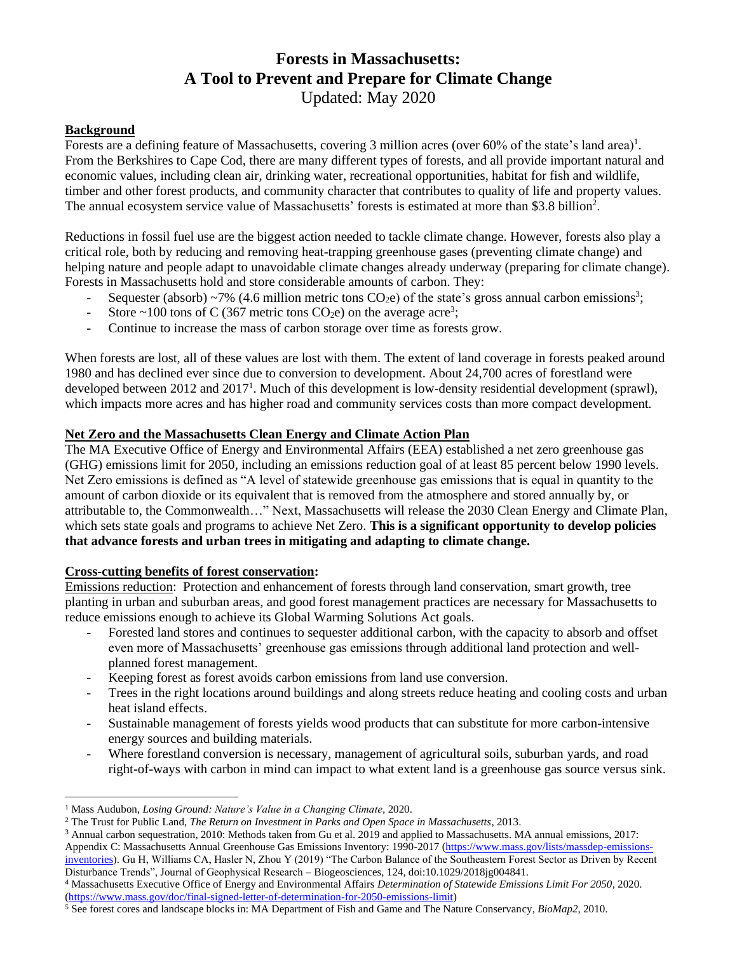# **Forests in Massachusetts: A Tool to Prevent and Prepare for Climate Change** Updated: May 2020

## **Background**

Forests are a defining feature of Massachusetts, covering 3 million acres (over  $60\%$  of the state's land area)<sup>1</sup>. From the Berkshires to Cape Cod, there are many different types of forests, and all provide important natural and economic values, including clean air, drinking water, recreational opportunities, habitat for fish and wildlife, timber and other forest products, and community character that contributes to quality of life and property values. The annual ecosystem service value of Massachusetts' forests is estimated at more than \$3.8 billion<sup>2</sup>.

Reductions in fossil fuel use are the biggest action needed to tackle climate change. However, forests also play a critical role, both by reducing and removing heat-trapping greenhouse gases (preventing climate change) and helping nature and people adapt to unavoidable climate changes already underway (preparing for climate change). Forests in Massachusetts hold and store considerable amounts of carbon. They:

- Sequester (absorb) ~7% (4.6 million metric tons  $CO<sub>2</sub>e$ ) of the state's gross annual carbon emissions<sup>3</sup>;
- Store ~100 tons of C (367 metric tons CO<sub>2</sub>e) on the average acre<sup>3</sup>;
- Continue to increase the mass of carbon storage over time as forests grow.

When forests are lost, all of these values are lost with them. The extent of land coverage in forests peaked around 1980 and has declined ever since due to conversion to development. About 24,700 acres of forestland were developed between 2012 and 2017<sup>1</sup>. Much of this development is low-density residential development (sprawl), which impacts more acres and has higher road and community services costs than more compact development.

## **Net Zero and the Massachusetts Clean Energy and Climate Action Plan**

The MA Executive Office of Energy and Environmental Affairs (EEA) established a net zero greenhouse gas (GHG) emissions limit for 2050, including an emissions reduction goal of at least 85 percent below 1990 levels. Net Zero emissions is defined as "A level of statewide greenhouse gas emissions that is equal in quantity to the amount of carbon dioxide or its equivalent that is removed from the atmosphere and stored annually by, or attributable to, the Commonwealth…" Next, Massachusetts will release the 2030 Clean Energy and Climate Plan, which sets state goals and programs to achieve Net Zero. **This is a significant opportunity to develop policies that advance forests and urban trees in mitigating and adapting to climate change.**

#### **Cross-cutting benefits of forest conservation:**

Emissions reduction: Protection and enhancement of forests through land conservation, smart growth, tree planting in urban and suburban areas, and good forest management practices are necessary for Massachusetts to reduce emissions enough to achieve its Global Warming Solutions Act goals.

- Forested land stores and continues to sequester additional carbon, with the capacity to absorb and offset even more of Massachusetts' greenhouse gas emissions through additional land protection and wellplanned forest management.
- Keeping forest as forest avoids carbon emissions from land use conversion.
- Trees in the right locations around buildings and along streets reduce heating and cooling costs and urban heat island effects.
- Sustainable management of forests yields wood products that can substitute for more carbon-intensive energy sources and building materials.
- Where forestland conversion is necessary, management of agricultural soils, suburban yards, and road right-of-ways with carbon in mind can impact to what extent land is a greenhouse gas source versus sink.

<sup>&</sup>lt;sup>1</sup> Mass Audubon, *Losing Ground: Nature's Value in a Changing Climate*, 2020.

<sup>2</sup> The Trust for Public Land, *The Return on Investment in Parks and Open Space in Massachusetts*, 2013.

<sup>&</sup>lt;sup>3</sup> Annual carbon sequestration, 2010: Methods taken from Gu et al. 2019 and applied to Massachusetts. MA annual emissions, 2017: Appendix C: Massachusetts Annual Greenhouse Gas Emissions Inventory: 1990-2017 [\(https://www.mass.gov/lists/massdep-emissions](https://www.mass.gov/lists/massdep-emissions-inventories)[inventories\)](https://www.mass.gov/lists/massdep-emissions-inventories). Gu H, Williams CA, Hasler N, Zhou Y (2019) "The Carbon Balance of the Southeastern Forest Sector as Driven by Recent Disturbance Trends", Journal of Geophysical Research – Biogeosciences, 124, doi:10.1029/2018jg004841.

<sup>4</sup> Massachusetts Executive Office of Energy and Environmental Affairs *Determination of Statewide Emissions Limit For 2050*, 2020. [\(https://www.mass.gov/doc/final-signed-letter-of-determination-for-2050-emissions-limit\)](https://www.mass.gov/doc/final-signed-letter-of-determination-for-2050-emissions-limit)

<sup>5</sup> See forest cores and landscape blocks in: MA Department of Fish and Game and The Nature Conservancy, *BioMap2*, 2010.